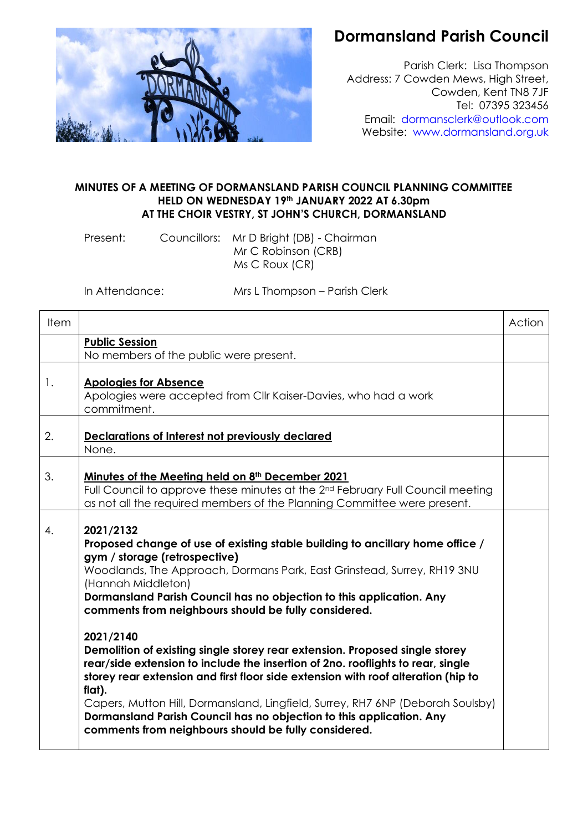

## **Dormansland Parish Council**

Parish Clerk: Lisa Thompson Address: 7 Cowden Mews, High Street, Cowden, Kent TN8 7JF Tel: 07395 323456 Email: [dormansclerk@outlook.com](mailto:dormansclerk@outlook.com) Website: [www.dormansland.org.uk](http://www.dormansland.org.uk/)

## **MINUTES OF A MEETING OF DORMANSLAND PARISH COUNCIL PLANNING COMMITTEE HELD ON WEDNESDAY 19th JANUARY 2022 AT 6.30pm AT THE CHOIR VESTRY, ST JOHN'S CHURCH, DORMANSLAND**

Present: Councillors: Mr D Bright (DB) - Chairman Mr C Robinson (CRB) Ms C Roux (CR)

In Attendance: Mrs L Thompson – Parish Clerk

| Item |                                                                                                                                                                                                                                                                                                                                                                                                                                                                                                                                                                                                                                                                                                                                                                                                                                                              | Action |
|------|--------------------------------------------------------------------------------------------------------------------------------------------------------------------------------------------------------------------------------------------------------------------------------------------------------------------------------------------------------------------------------------------------------------------------------------------------------------------------------------------------------------------------------------------------------------------------------------------------------------------------------------------------------------------------------------------------------------------------------------------------------------------------------------------------------------------------------------------------------------|--------|
|      | <b>Public Session</b><br>No members of the public were present.                                                                                                                                                                                                                                                                                                                                                                                                                                                                                                                                                                                                                                                                                                                                                                                              |        |
| 1.   | <b>Apologies for Absence</b><br>Apologies were accepted from Cllr Kaiser-Davies, who had a work<br>commitment.                                                                                                                                                                                                                                                                                                                                                                                                                                                                                                                                                                                                                                                                                                                                               |        |
| 2.   | Declarations of Interest not previously declared<br>None.                                                                                                                                                                                                                                                                                                                                                                                                                                                                                                                                                                                                                                                                                                                                                                                                    |        |
| 3.   | Minutes of the Meeting held on 8 <sup>th</sup> December 2021<br>Full Council to approve these minutes at the 2 <sup>nd</sup> February Full Council meeting<br>as not all the required members of the Planning Committee were present.                                                                                                                                                                                                                                                                                                                                                                                                                                                                                                                                                                                                                        |        |
| 4.   | 2021/2132<br>Proposed change of use of existing stable building to ancillary home office /<br>gym / storage (retrospective)<br>Woodlands, The Approach, Dormans Park, East Grinstead, Surrey, RH19 3NU<br>(Hannah Middleton)<br>Dormansland Parish Council has no objection to this application. Any<br>comments from neighbours should be fully considered.<br>2021/2140<br>Demolition of existing single storey rear extension. Proposed single storey<br>rear/side extension to include the insertion of 2no. rooflights to rear, single<br>storey rear extension and first floor side extension with roof alteration (hip to<br>flat).<br>Capers, Mutton Hill, Dormansland, Lingfield, Surrey, RH7 6NP (Deborah Soulsby)<br>Dormansland Parish Council has no objection to this application. Any<br>comments from neighbours should be fully considered. |        |